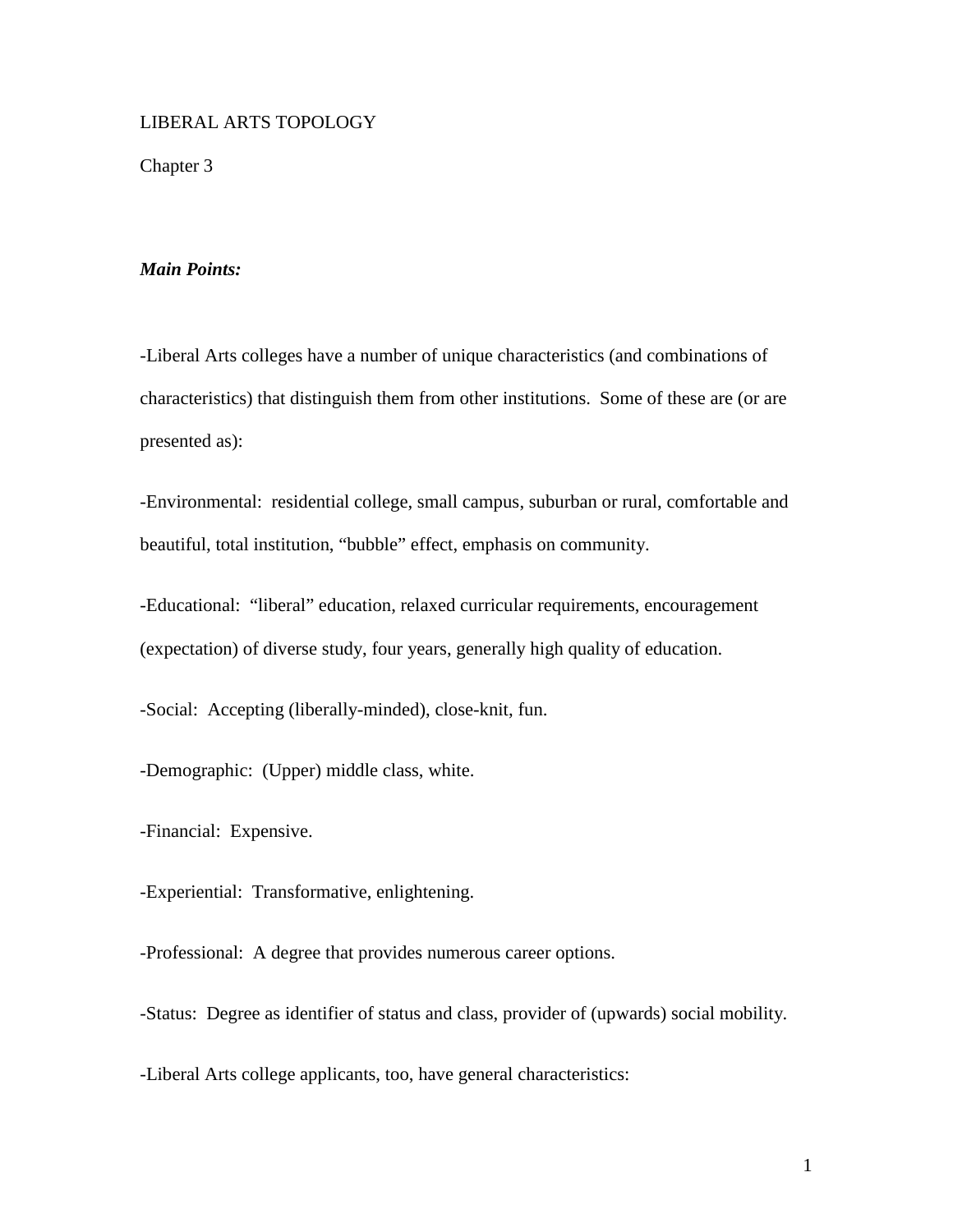# LIBERAL ARTS TOPOLOGY

Chapter 3

# *Main Points:*

-Liberal Arts colleges have a number of unique characteristics (and combinations of characteristics) that distinguish them from other institutions. Some of these are (or are presented as):

-Environmental: residential college, small campus, suburban or rural, comfortable and beautiful, total institution, "bubble" effect, emphasis on community.

-Educational: "liberal" education, relaxed curricular requirements, encouragement (expectation) of diverse study, four years, generally high quality of education.

-Social: Accepting (liberally-minded), close-knit, fun.

-Demographic: (Upper) middle class, white.

-Financial: Expensive.

-Experiential: Transformative, enlightening.

-Professional: A degree that provides numerous career options.

-Status: Degree as identifier of status and class, provider of (upwards) social mobility.

-Liberal Arts college applicants, too, have general characteristics: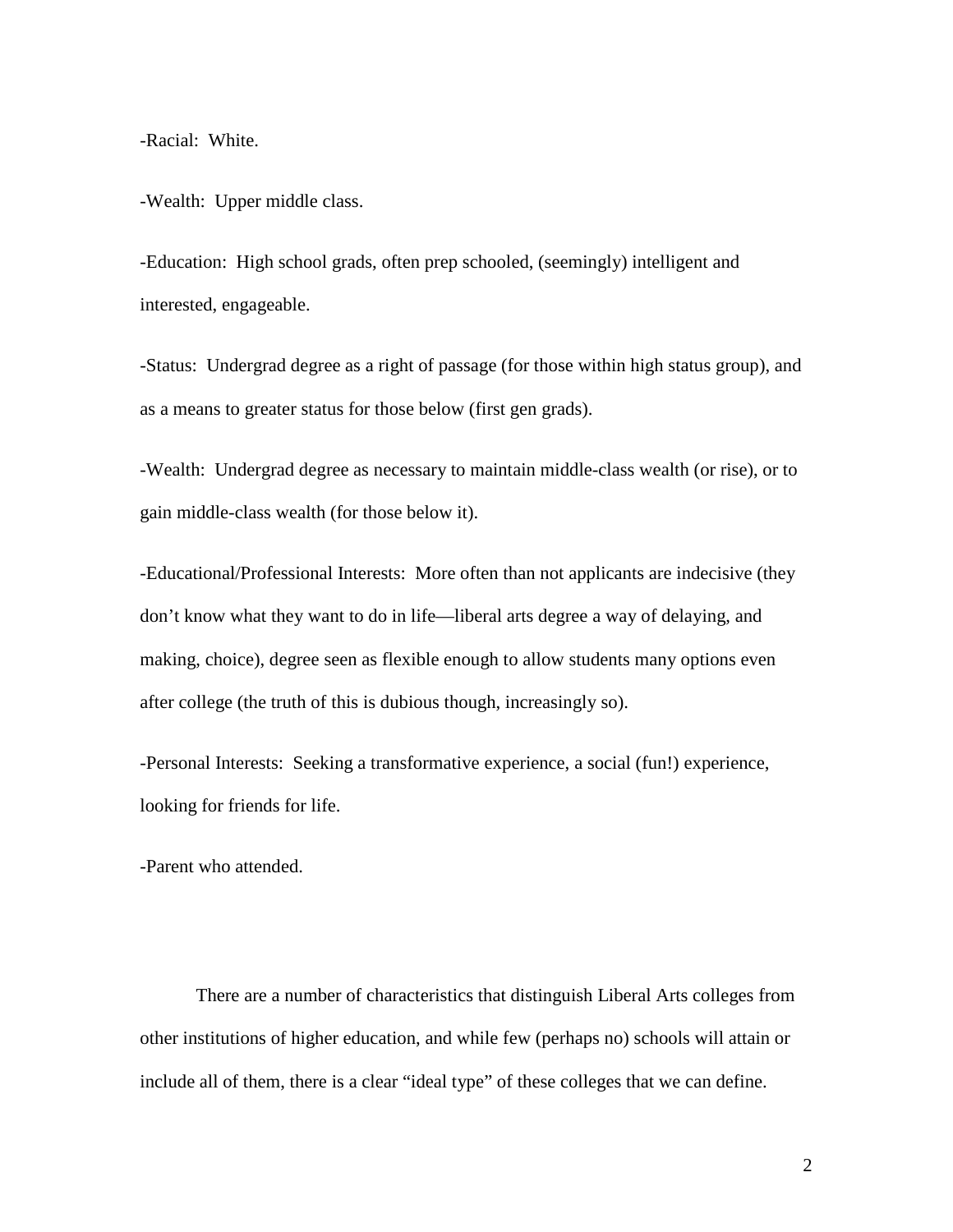-Racial: White.

-Wealth: Upper middle class.

-Education: High school grads, often prep schooled, (seemingly) intelligent and interested, engageable.

-Status: Undergrad degree as a right of passage (for those within high status group), and as a means to greater status for those below (first gen grads).

-Wealth: Undergrad degree as necessary to maintain middle-class wealth (or rise), or to gain middle-class wealth (for those below it).

-Educational/Professional Interests: More often than not applicants are indecisive (they don't know what they want to do in life—liberal arts degree a way of delaying, and making, choice), degree seen as flexible enough to allow students many options even after college (the truth of this is dubious though, increasingly so).

-Personal Interests: Seeking a transformative experience, a social (fun!) experience, looking for friends for life.

-Parent who attended.

 There are a number of characteristics that distinguish Liberal Arts colleges from other institutions of higher education, and while few (perhaps no) schools will attain or include all of them, there is a clear "ideal type" of these colleges that we can define.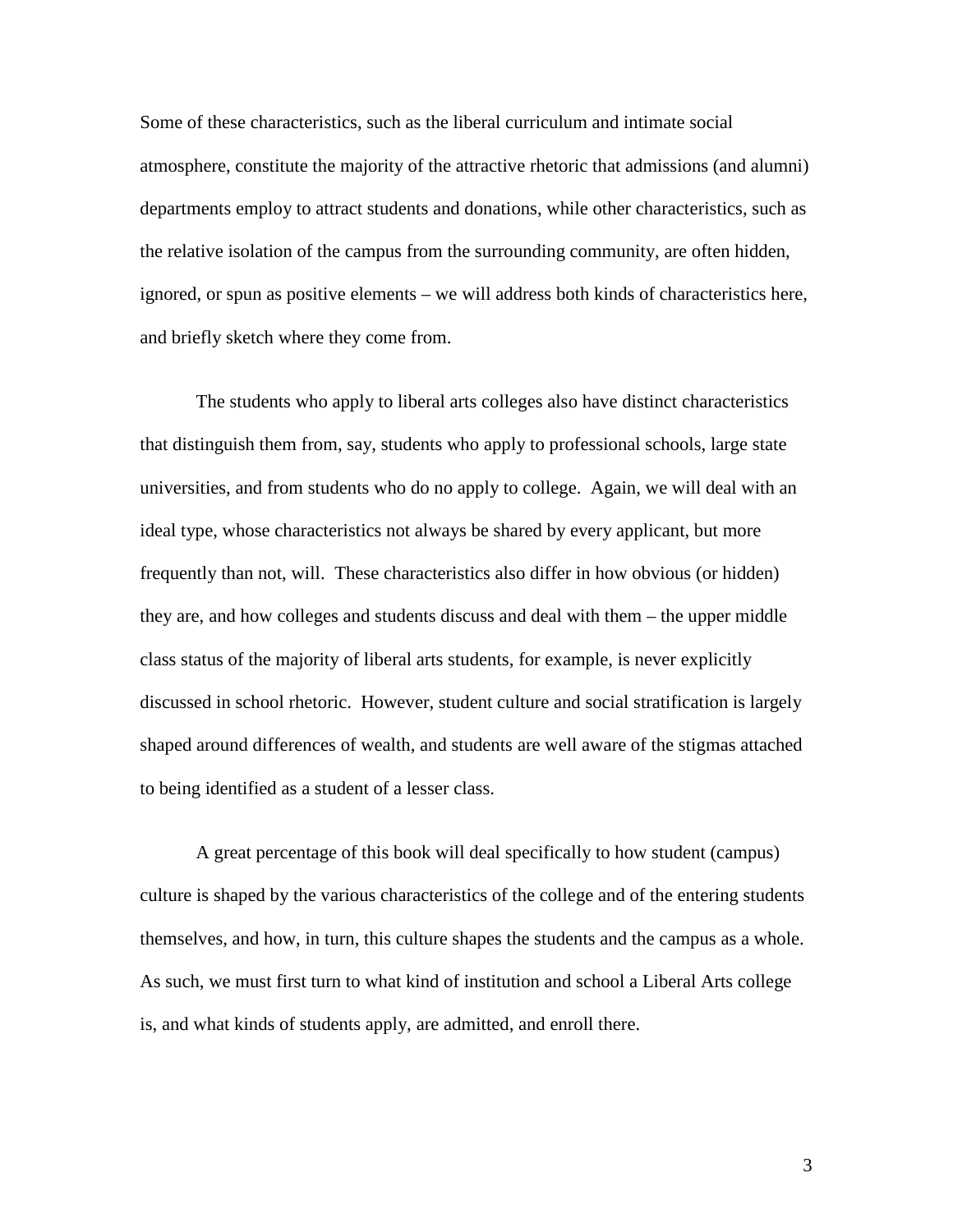Some of these characteristics, such as the liberal curriculum and intimate social atmosphere, constitute the majority of the attractive rhetoric that admissions (and alumni) departments employ to attract students and donations, while other characteristics, such as the relative isolation of the campus from the surrounding community, are often hidden, ignored, or spun as positive elements – we will address both kinds of characteristics here, and briefly sketch where they come from.

 The students who apply to liberal arts colleges also have distinct characteristics that distinguish them from, say, students who apply to professional schools, large state universities, and from students who do no apply to college. Again, we will deal with an ideal type, whose characteristics not always be shared by every applicant, but more frequently than not, will. These characteristics also differ in how obvious (or hidden) they are, and how colleges and students discuss and deal with them – the upper middle class status of the majority of liberal arts students, for example, is never explicitly discussed in school rhetoric. However, student culture and social stratification is largely shaped around differences of wealth, and students are well aware of the stigmas attached to being identified as a student of a lesser class.

 A great percentage of this book will deal specifically to how student (campus) culture is shaped by the various characteristics of the college and of the entering students themselves, and how, in turn, this culture shapes the students and the campus as a whole. As such, we must first turn to what kind of institution and school a Liberal Arts college is, and what kinds of students apply, are admitted, and enroll there.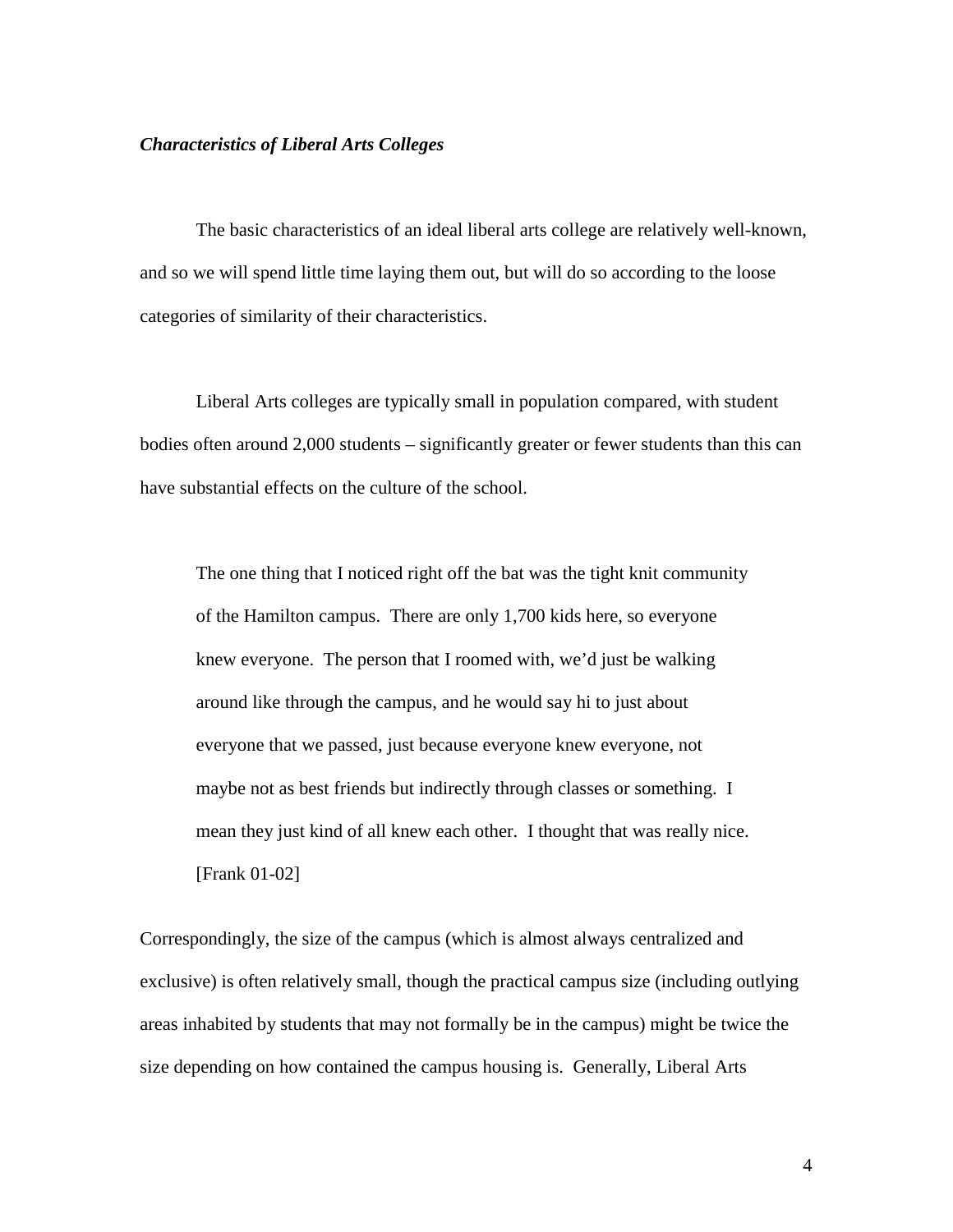#### *Characteristics of Liberal Arts Colleges*

 The basic characteristics of an ideal liberal arts college are relatively well-known, and so we will spend little time laying them out, but will do so according to the loose categories of similarity of their characteristics.

Liberal Arts colleges are typically small in population compared, with student bodies often around 2,000 students – significantly greater or fewer students than this can have substantial effects on the culture of the school.

The one thing that I noticed right off the bat was the tight knit community of the Hamilton campus. There are only 1,700 kids here, so everyone knew everyone. The person that I roomed with, we'd just be walking around like through the campus, and he would say hi to just about everyone that we passed, just because everyone knew everyone, not maybe not as best friends but indirectly through classes or something. I mean they just kind of all knew each other. I thought that was really nice. [Frank 01-02]

Correspondingly, the size of the campus (which is almost always centralized and exclusive) is often relatively small, though the practical campus size (including outlying areas inhabited by students that may not formally be in the campus) might be twice the size depending on how contained the campus housing is. Generally, Liberal Arts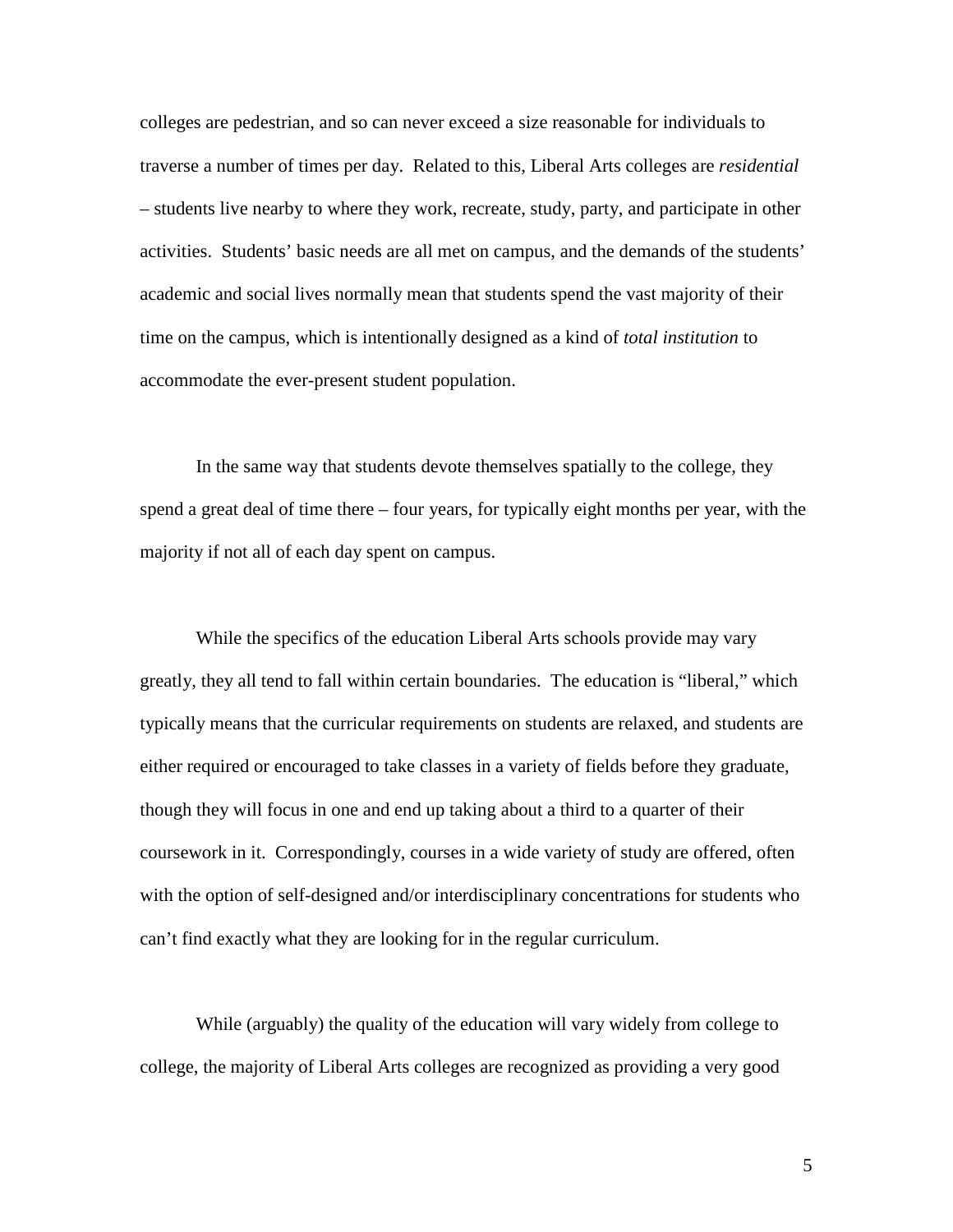colleges are pedestrian, and so can never exceed a size reasonable for individuals to traverse a number of times per day. Related to this, Liberal Arts colleges are *residential* – students live nearby to where they work, recreate, study, party, and participate in other activities. Students' basic needs are all met on campus, and the demands of the students' academic and social lives normally mean that students spend the vast majority of their time on the campus, which is intentionally designed as a kind of *total institution* to accommodate the ever-present student population.

In the same way that students devote themselves spatially to the college, they spend a great deal of time there – four years, for typically eight months per year, with the majority if not all of each day spent on campus.

While the specifics of the education Liberal Arts schools provide may vary greatly, they all tend to fall within certain boundaries. The education is "liberal," which typically means that the curricular requirements on students are relaxed, and students are either required or encouraged to take classes in a variety of fields before they graduate, though they will focus in one and end up taking about a third to a quarter of their coursework in it. Correspondingly, courses in a wide variety of study are offered, often with the option of self-designed and/or interdisciplinary concentrations for students who can't find exactly what they are looking for in the regular curriculum.

While (arguably) the quality of the education will vary widely from college to college, the majority of Liberal Arts colleges are recognized as providing a very good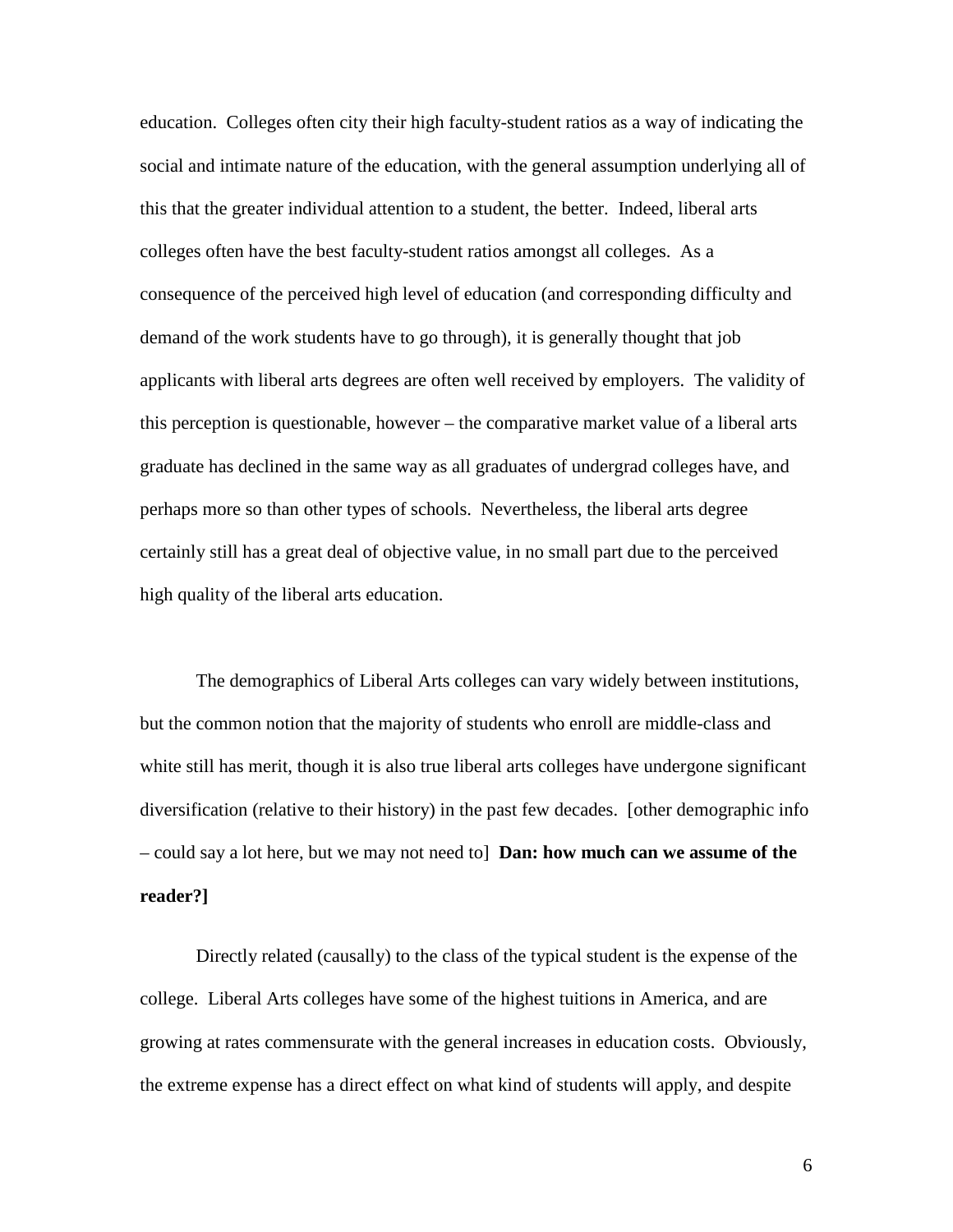education. Colleges often city their high faculty-student ratios as a way of indicating the social and intimate nature of the education, with the general assumption underlying all of this that the greater individual attention to a student, the better. Indeed, liberal arts colleges often have the best faculty-student ratios amongst all colleges. As a consequence of the perceived high level of education (and corresponding difficulty and demand of the work students have to go through), it is generally thought that job applicants with liberal arts degrees are often well received by employers. The validity of this perception is questionable, however – the comparative market value of a liberal arts graduate has declined in the same way as all graduates of undergrad colleges have, and perhaps more so than other types of schools. Nevertheless, the liberal arts degree certainly still has a great deal of objective value, in no small part due to the perceived high quality of the liberal arts education.

The demographics of Liberal Arts colleges can vary widely between institutions, but the common notion that the majority of students who enroll are middle-class and white still has merit, though it is also true liberal arts colleges have undergone significant diversification (relative to their history) in the past few decades. [other demographic info – could say a lot here, but we may not need to] **Dan: how much can we assume of the reader?]** 

Directly related (causally) to the class of the typical student is the expense of the college. Liberal Arts colleges have some of the highest tuitions in America, and are growing at rates commensurate with the general increases in education costs. Obviously, the extreme expense has a direct effect on what kind of students will apply, and despite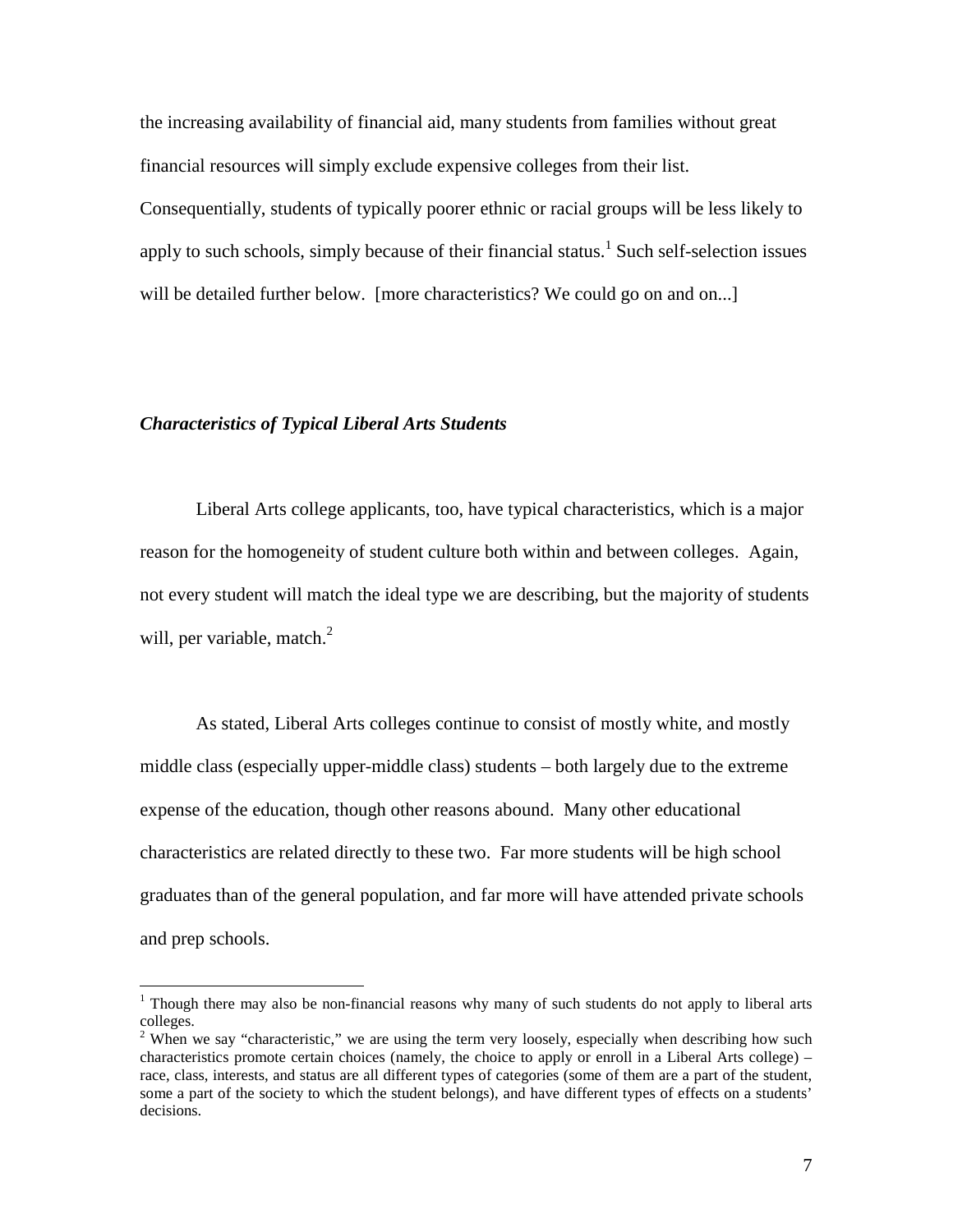the increasing availability of financial aid, many students from families without great financial resources will simply exclude expensive colleges from their list.

Consequentially, students of typically poorer ethnic or racial groups will be less likely to apply to such schools, simply because of their financial status.<sup>1</sup> Such self-selection issues will be detailed further below. [more characteristics? We could go on and on...]

#### *Characteristics of Typical Liberal Arts Students*

 $\overline{a}$ 

Liberal Arts college applicants, too, have typical characteristics, which is a major reason for the homogeneity of student culture both within and between colleges. Again, not every student will match the ideal type we are describing, but the majority of students will, per variable, match. $^{2}$ 

As stated, Liberal Arts colleges continue to consist of mostly white, and mostly middle class (especially upper-middle class) students – both largely due to the extreme expense of the education, though other reasons abound. Many other educational characteristics are related directly to these two. Far more students will be high school graduates than of the general population, and far more will have attended private schools and prep schools.

<sup>&</sup>lt;sup>1</sup> Though there may also be non-financial reasons why many of such students do not apply to liberal arts colleges.

<sup>&</sup>lt;sup>2</sup> When we say "characteristic," we are using the term very loosely, especially when describing how such characteristics promote certain choices (namely, the choice to apply or enroll in a Liberal Arts college) – race, class, interests, and status are all different types of categories (some of them are a part of the student, some a part of the society to which the student belongs), and have different types of effects on a students' decisions.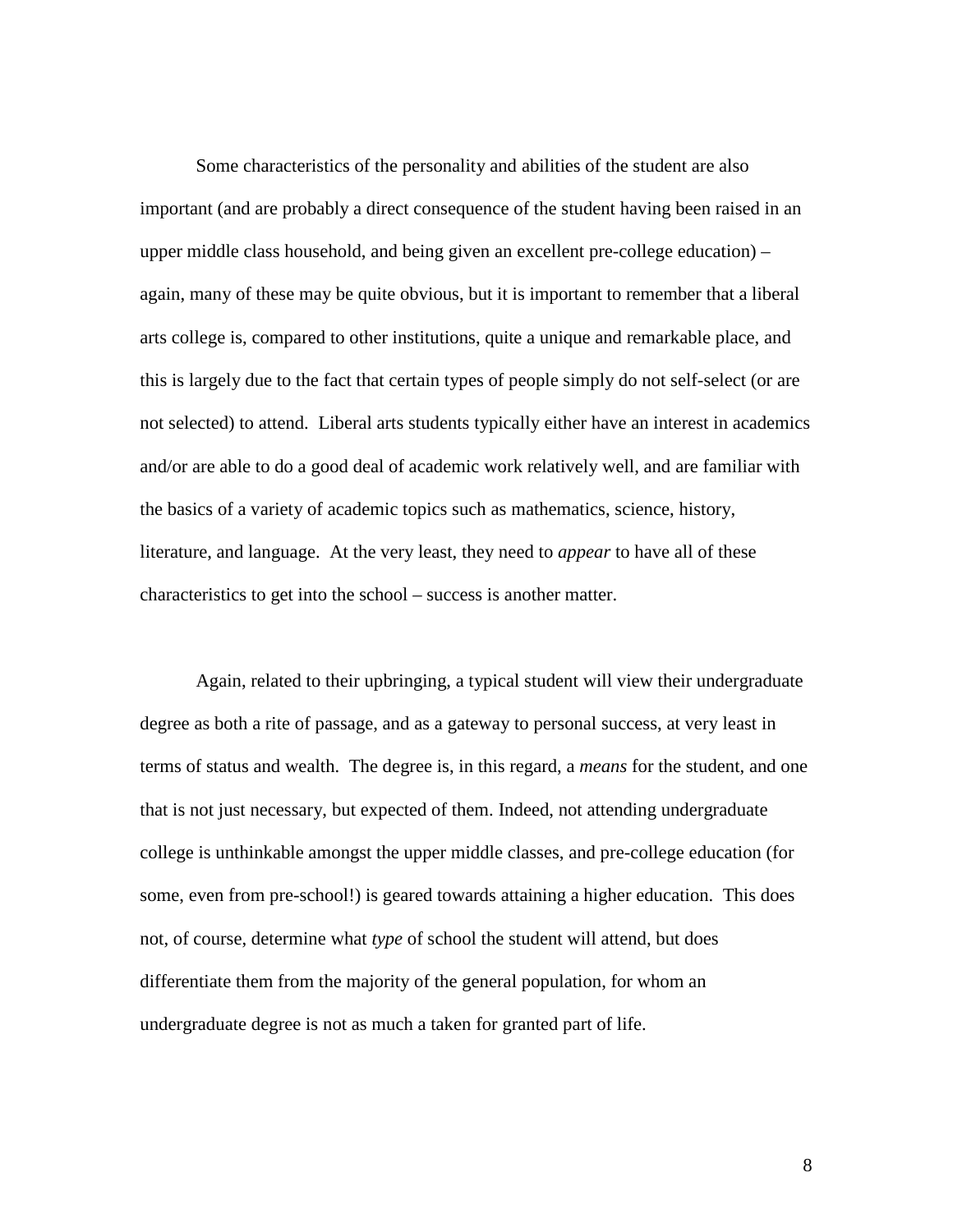Some characteristics of the personality and abilities of the student are also important (and are probably a direct consequence of the student having been raised in an upper middle class household, and being given an excellent pre-college education) – again, many of these may be quite obvious, but it is important to remember that a liberal arts college is, compared to other institutions, quite a unique and remarkable place, and this is largely due to the fact that certain types of people simply do not self-select (or are not selected) to attend. Liberal arts students typically either have an interest in academics and/or are able to do a good deal of academic work relatively well, and are familiar with the basics of a variety of academic topics such as mathematics, science, history, literature, and language. At the very least, they need to *appear* to have all of these characteristics to get into the school – success is another matter.

Again, related to their upbringing, a typical student will view their undergraduate degree as both a rite of passage, and as a gateway to personal success, at very least in terms of status and wealth. The degree is, in this regard, a *means* for the student, and one that is not just necessary, but expected of them. Indeed, not attending undergraduate college is unthinkable amongst the upper middle classes, and pre-college education (for some, even from pre-school!) is geared towards attaining a higher education. This does not, of course, determine what *type* of school the student will attend, but does differentiate them from the majority of the general population, for whom an undergraduate degree is not as much a taken for granted part of life.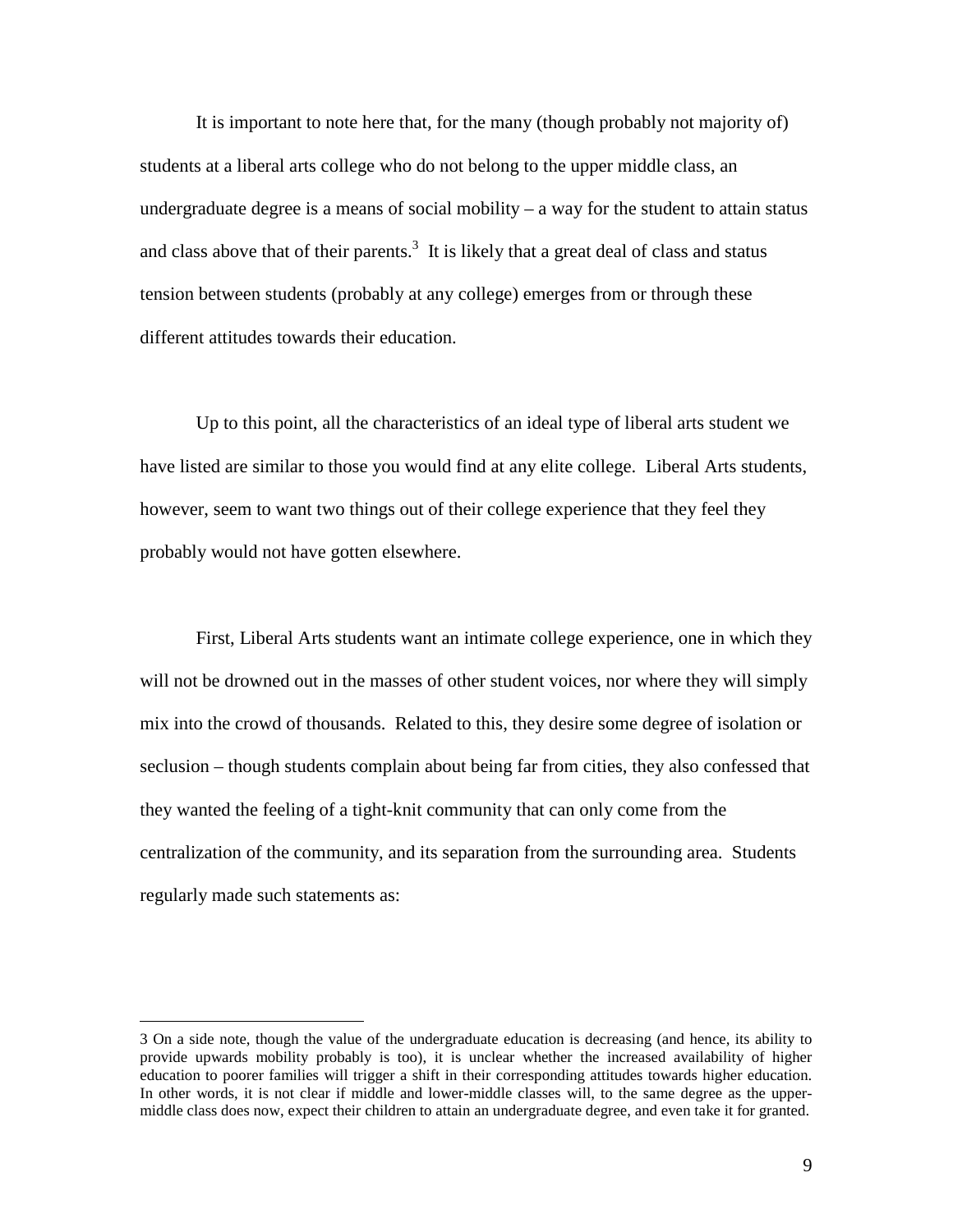It is important to note here that, for the many (though probably not majority of) students at a liberal arts college who do not belong to the upper middle class, an undergraduate degree is a means of social mobility  $-$  a way for the student to attain status and class above that of their parents.<sup>3</sup> It is likely that a great deal of class and status tension between students (probably at any college) emerges from or through these different attitudes towards their education.

 Up to this point, all the characteristics of an ideal type of liberal arts student we have listed are similar to those you would find at any elite college. Liberal Arts students, however, seem to want two things out of their college experience that they feel they probably would not have gotten elsewhere.

 First, Liberal Arts students want an intimate college experience, one in which they will not be drowned out in the masses of other student voices, nor where they will simply mix into the crowd of thousands. Related to this, they desire some degree of isolation or seclusion – though students complain about being far from cities, they also confessed that they wanted the feeling of a tight-knit community that can only come from the centralization of the community, and its separation from the surrounding area. Students regularly made such statements as:

 $\overline{a}$ 

<sup>3</sup> On a side note, though the value of the undergraduate education is decreasing (and hence, its ability to provide upwards mobility probably is too), it is unclear whether the increased availability of higher education to poorer families will trigger a shift in their corresponding attitudes towards higher education. In other words, it is not clear if middle and lower-middle classes will, to the same degree as the uppermiddle class does now, expect their children to attain an undergraduate degree, and even take it for granted.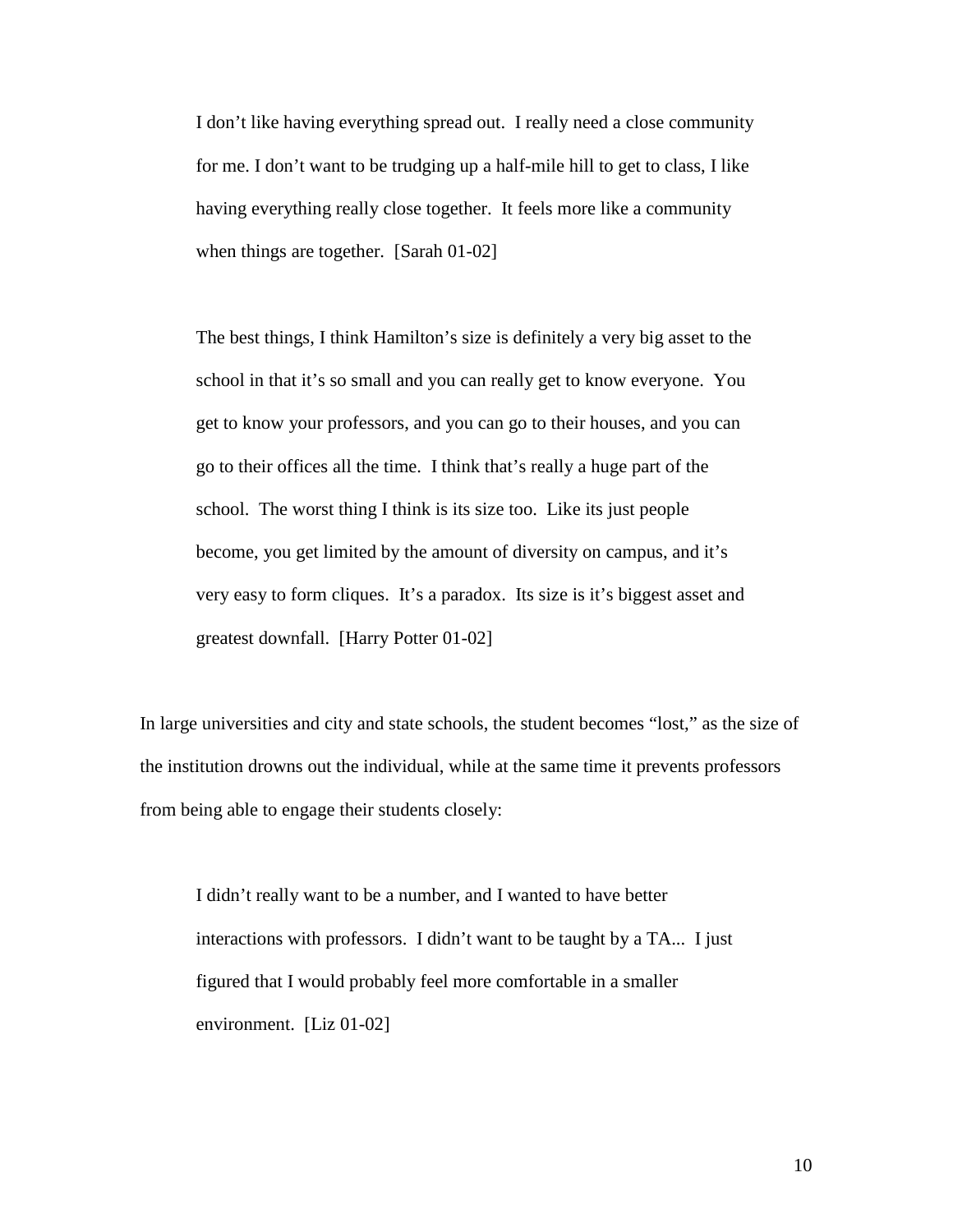I don't like having everything spread out. I really need a close community for me. I don't want to be trudging up a half-mile hill to get to class, I like having everything really close together. It feels more like a community when things are together. [Sarah 01-02]

The best things, I think Hamilton's size is definitely a very big asset to the school in that it's so small and you can really get to know everyone. You get to know your professors, and you can go to their houses, and you can go to their offices all the time. I think that's really a huge part of the school. The worst thing I think is its size too. Like its just people become, you get limited by the amount of diversity on campus, and it's very easy to form cliques. It's a paradox. Its size is it's biggest asset and greatest downfall. [Harry Potter 01-02]

In large universities and city and state schools, the student becomes "lost," as the size of the institution drowns out the individual, while at the same time it prevents professors from being able to engage their students closely:

I didn't really want to be a number, and I wanted to have better interactions with professors. I didn't want to be taught by a TA... I just figured that I would probably feel more comfortable in a smaller environment. [Liz 01-02]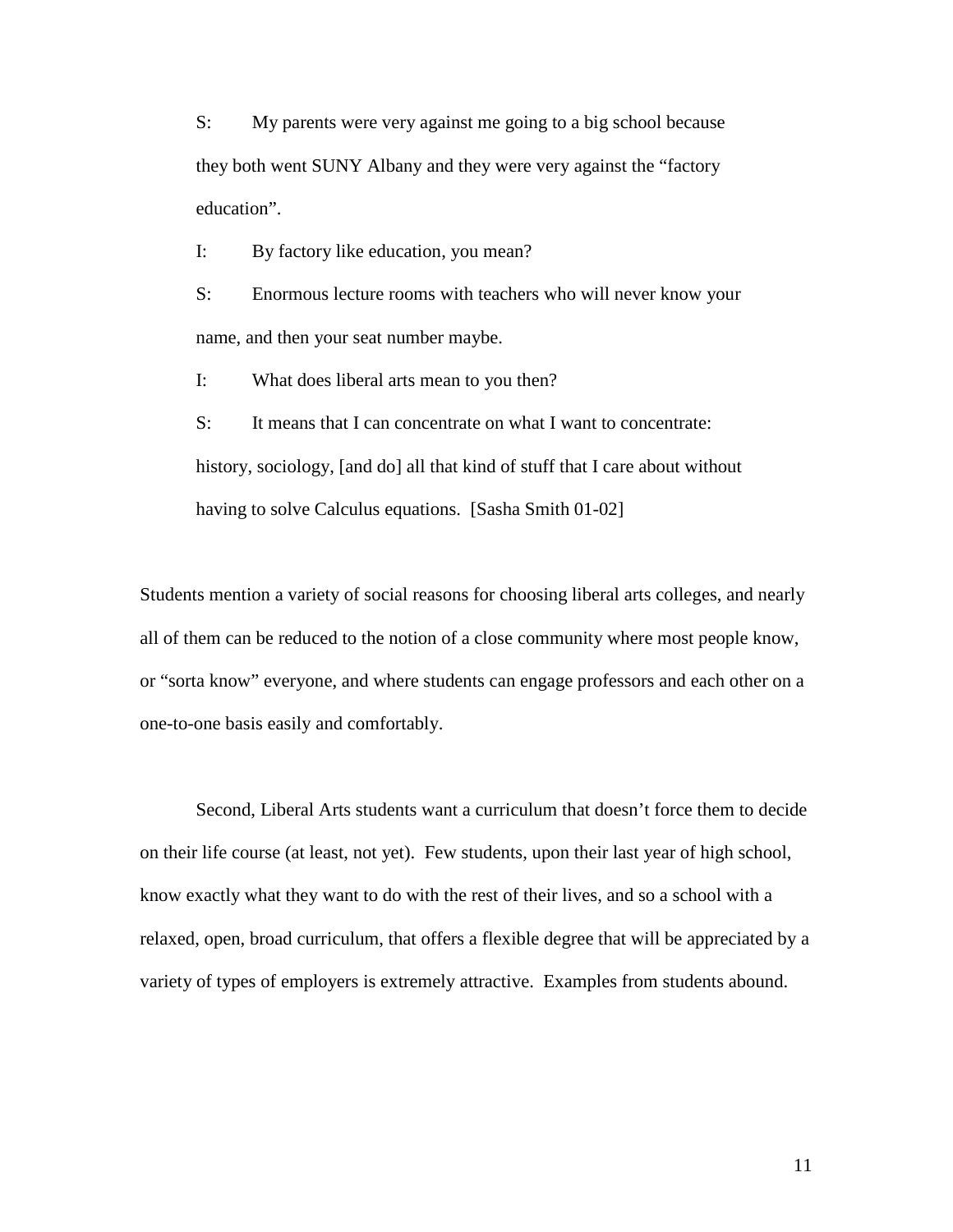S: My parents were very against me going to a big school because they both went SUNY Albany and they were very against the "factory education".

I: By factory like education, you mean?

S: Enormous lecture rooms with teachers who will never know your name, and then your seat number maybe.

I: What does liberal arts mean to you then?

S: It means that I can concentrate on what I want to concentrate: history, sociology, [and do] all that kind of stuff that I care about without having to solve Calculus equations. [Sasha Smith 01-02]

Students mention a variety of social reasons for choosing liberal arts colleges, and nearly all of them can be reduced to the notion of a close community where most people know, or "sorta know" everyone, and where students can engage professors and each other on a one-to-one basis easily and comfortably.

 Second, Liberal Arts students want a curriculum that doesn't force them to decide on their life course (at least, not yet). Few students, upon their last year of high school, know exactly what they want to do with the rest of their lives, and so a school with a relaxed, open, broad curriculum, that offers a flexible degree that will be appreciated by a variety of types of employers is extremely attractive. Examples from students abound.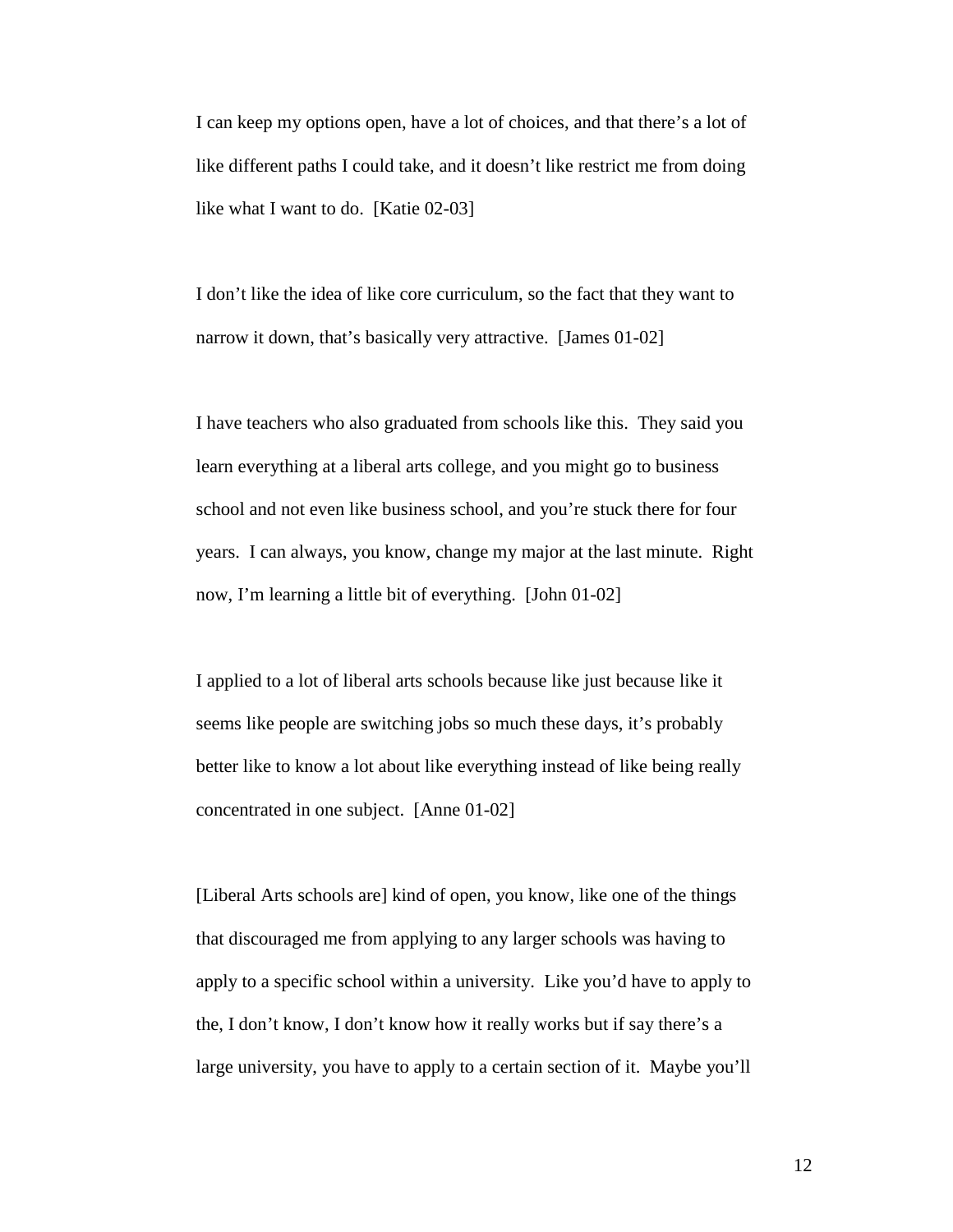I can keep my options open, have a lot of choices, and that there's a lot of like different paths I could take, and it doesn't like restrict me from doing like what I want to do. [Katie 02-03]

I don't like the idea of like core curriculum, so the fact that they want to narrow it down, that's basically very attractive. [James 01-02]

I have teachers who also graduated from schools like this. They said you learn everything at a liberal arts college, and you might go to business school and not even like business school, and you're stuck there for four years. I can always, you know, change my major at the last minute. Right now, I'm learning a little bit of everything. [John 01-02]

I applied to a lot of liberal arts schools because like just because like it seems like people are switching jobs so much these days, it's probably better like to know a lot about like everything instead of like being really concentrated in one subject. [Anne 01-02]

[Liberal Arts schools are] kind of open, you know, like one of the things that discouraged me from applying to any larger schools was having to apply to a specific school within a university. Like you'd have to apply to the, I don't know, I don't know how it really works but if say there's a large university, you have to apply to a certain section of it. Maybe you'll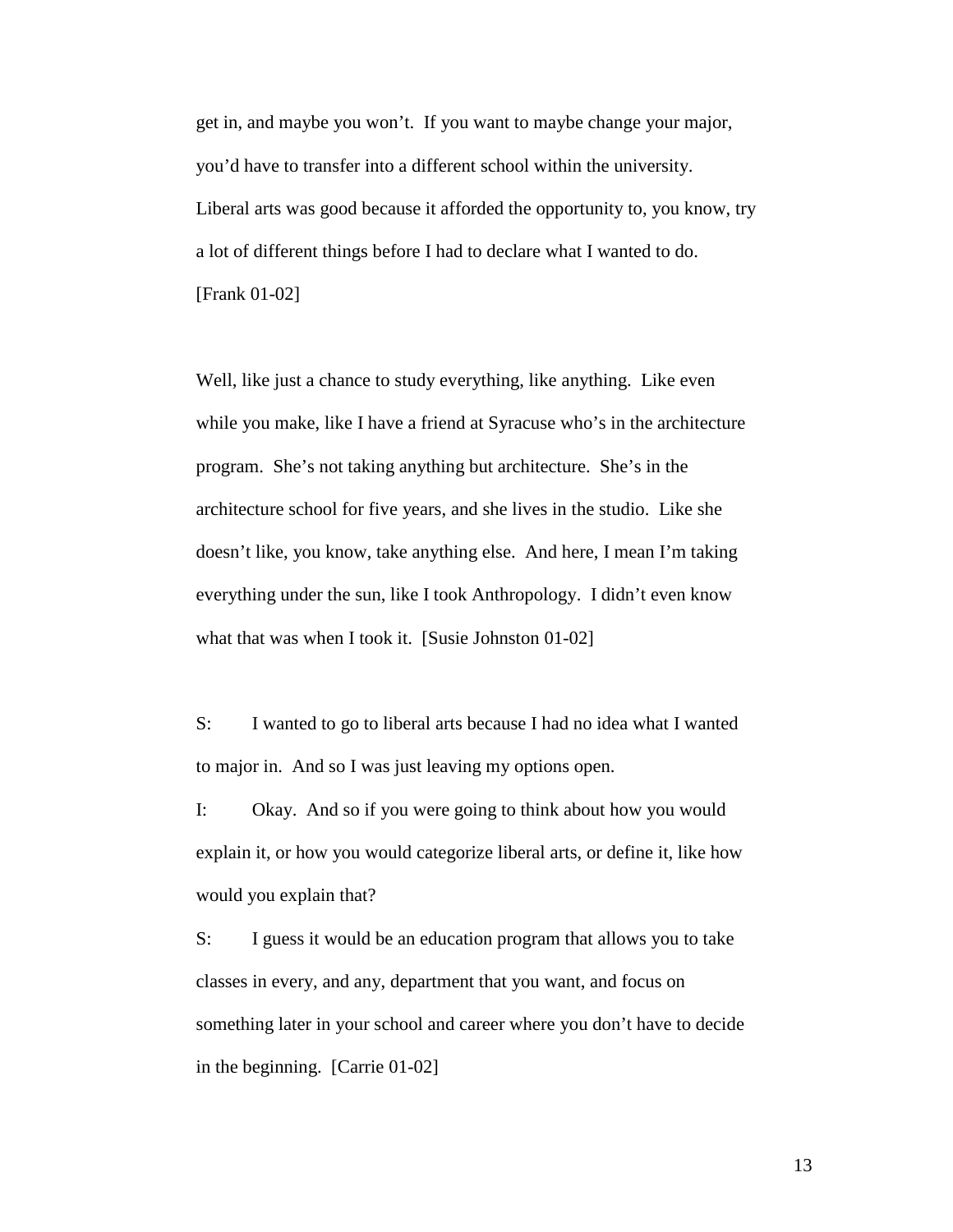get in, and maybe you won't. If you want to maybe change your major, you'd have to transfer into a different school within the university. Liberal arts was good because it afforded the opportunity to, you know, try a lot of different things before I had to declare what I wanted to do. [Frank 01-02]

Well, like just a chance to study everything, like anything. Like even while you make, like I have a friend at Syracuse who's in the architecture program. She's not taking anything but architecture. She's in the architecture school for five years, and she lives in the studio. Like she doesn't like, you know, take anything else. And here, I mean I'm taking everything under the sun, like I took Anthropology. I didn't even know what that was when I took it. [Susie Johnston 01-02]

S: I wanted to go to liberal arts because I had no idea what I wanted to major in. And so I was just leaving my options open.

I: Okay. And so if you were going to think about how you would explain it, or how you would categorize liberal arts, or define it, like how would you explain that?

S: I guess it would be an education program that allows you to take classes in every, and any, department that you want, and focus on something later in your school and career where you don't have to decide in the beginning. [Carrie 01-02]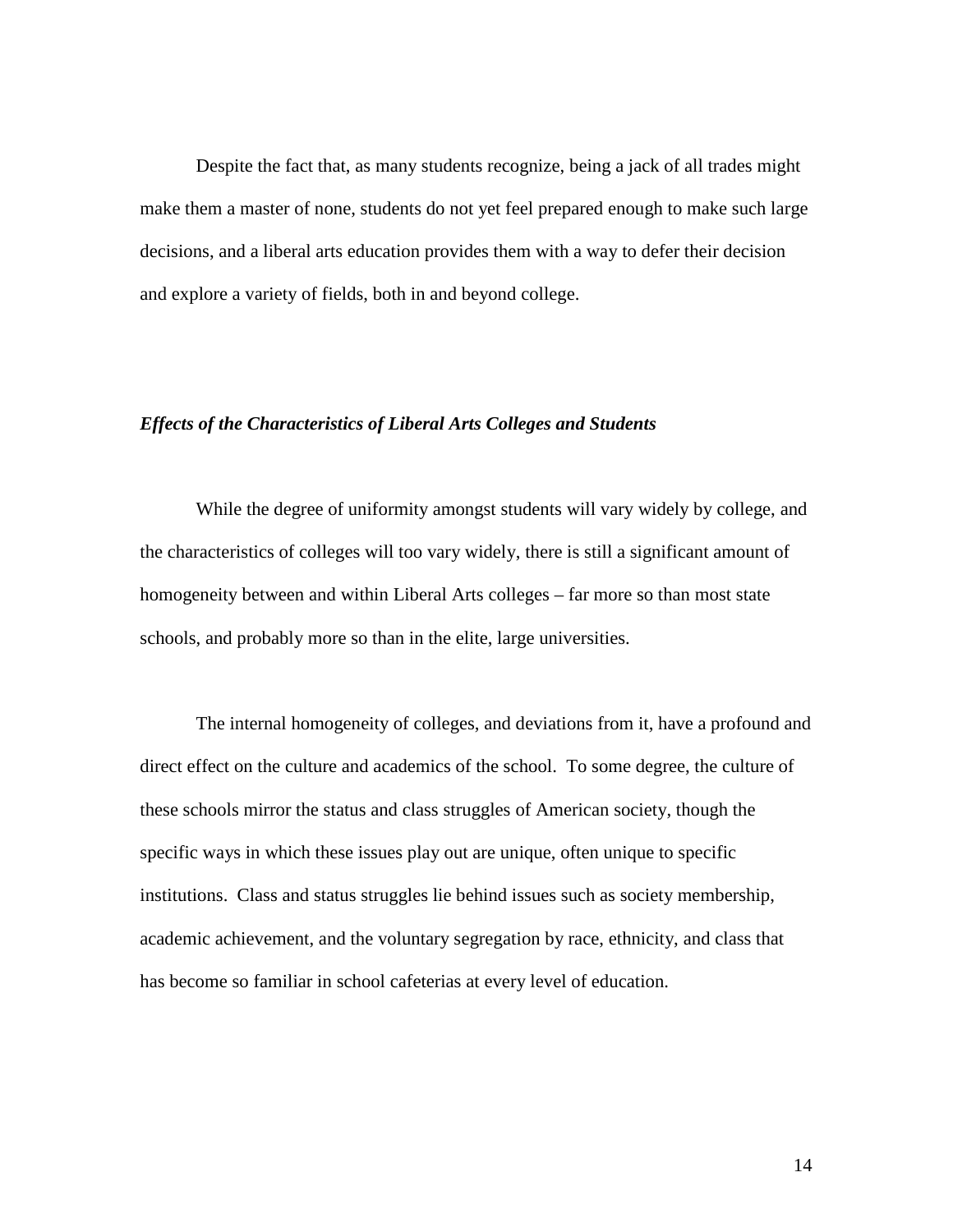Despite the fact that, as many students recognize, being a jack of all trades might make them a master of none, students do not yet feel prepared enough to make such large decisions, and a liberal arts education provides them with a way to defer their decision and explore a variety of fields, both in and beyond college.

### *Effects of the Characteristics of Liberal Arts Colleges and Students*

 While the degree of uniformity amongst students will vary widely by college, and the characteristics of colleges will too vary widely, there is still a significant amount of homogeneity between and within Liberal Arts colleges – far more so than most state schools, and probably more so than in the elite, large universities.

 The internal homogeneity of colleges, and deviations from it, have a profound and direct effect on the culture and academics of the school. To some degree, the culture of these schools mirror the status and class struggles of American society, though the specific ways in which these issues play out are unique, often unique to specific institutions. Class and status struggles lie behind issues such as society membership, academic achievement, and the voluntary segregation by race, ethnicity, and class that has become so familiar in school cafeterias at every level of education.